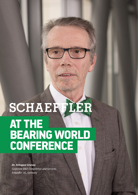# AT THE AL LINE<br>BEARING WORLD DEARINU VVUI<br>CONFERENCE AT THE BEARING WORLD CONFERENCE

Corporate R&D Competence and Services, Schaeffler AG, Germany **Dr. Arbogast Grunau**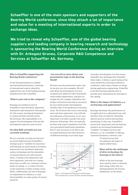**Schaeffler is one of the main sponsors and supporters of the Bearing World conference, since they attach a lot of importance and value for a meeting of international experts in order to exchange ideas.**

**We tried to reveal why Schaeffler, one of the global bearing suppliers and leading company in bearing research and technology is sponsoring the Bearing World Conference during an interview with Dr. Arbogast Grunau, Corporate R&D Competence and Services at Schaeffler AG, Germany.**

# **Why is Schaeffler supporting the Bearing World conference?**

As the bearing business is a global and international business, a meeting of international experts should be supported by one of the leading bearing manufacturers like Schaeffler.

#### **What is your role at the company?**

Bearings are needed in each of Schaeffler's three divisions: Industrial, Automotive and Automotive Aftermarket. For this reason, bearing development is conducted both centrally and in the divisions. My responsibility is to support this development with specific development expertise and services.

#### **On what R&D activities are you currently working?**

We are currently carrying out research in several fields because Schaeffler's strategic goal is "mobility for tomorrow," and bearings are used nearly everywhere motion has to be facilitated. Materials, surface technology and the simulation of system behavior are still research topics. Coating is becoming more and more important, and with our coating know-how we offer our customers various kinds of coating, i.e. to reduce friction or the sensitivity to white etching cracks (WEC). Additionally, the role of bearings in components for Industry 4.0 and electromobility are main points of current research.

# **Can you tell us more about your presentation topic at the Bearing World?**

We have several presentation topics, but let me give you two examples. We will talk about the development of a new asymmetrical spherical roller bearing for wind turbine applications, and give an insight into the complex simulation and design verification work that is necessary for successful product development. Another topic is the prediction of bearing noise. We all know that noise is becoming more and more important, even with the electrification of drivetrains. So it's very important to be able to predict the noise behavior of bearings. This can typically be done with expert simulation tools like very specialized multi-body simulation. But it's also necessary to be able to get an initial feeling for the noise behavior of different bearings in an early stage



Figure 1: SGI diagram for deep groove ball bearings. GenC bearings have a lower SGI than standard bearings.

of product development. For this reason Schaeffler has developed the Schaeffler Noise Index. It allows a quick rating of the noise emitted by a bearing at reference conditions, and is thus a hands-on rating during application engineering. Schaeffler is the first bearing manufacturer to provide noise information for bearings in the catalog.

## **What is the impact of Industry 4.0 on bearings and applications?**

Bearings determine the performance of an application in a substantial way, and therefore they are ideal for obtaining data for process control and machine monitoring. In this way, Schaeffler's sensorized components and mechatronic products are becoming fundamental "enablers" for digital services and Industry 4.0. So, Schaeffler is offering consistent hardware, software, and

> IT infrastructure that encompasses all stages of digital added value.

# **What will be the challenges of drive technology for bearings in the future?**

While in the past bearings were rated by static or dynamic load rating, today they are distinguished by the friction momentum. In the future,